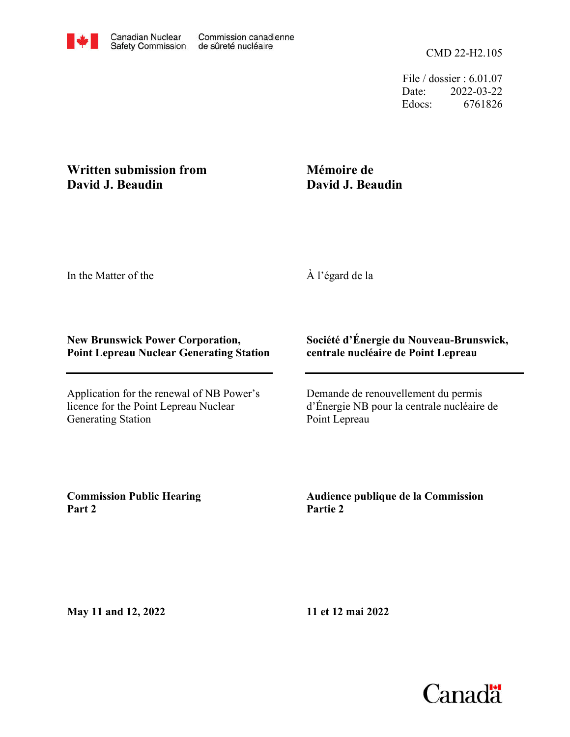File / dossier : 6.01.07 Date: 2022-03-22 Edocs: 6761826

## **Written submission from David J. Beaudin**

## **Mémoire de David J. Beaudin**

In the Matter of the

À l'égard de la

## **New Brunswick Power Corporation, Point Lepreau Nuclear Generating Station**

Application for the renewal of NB Power's licence for the Point Lepreau Nuclear Generating Station

## **Société d'Énergie du Nouveau-Brunswick, centrale nucléaire de Point Lepreau**

Demande de renouvellement du permis d'Énergie NB pour la centrale nucléaire de Point Lepreau

**Commission Public Hearing Part 2**

**Audience publique de la Commission Partie 2**

**May 11 and 12, 2022**

**11 et 12 mai 2022**